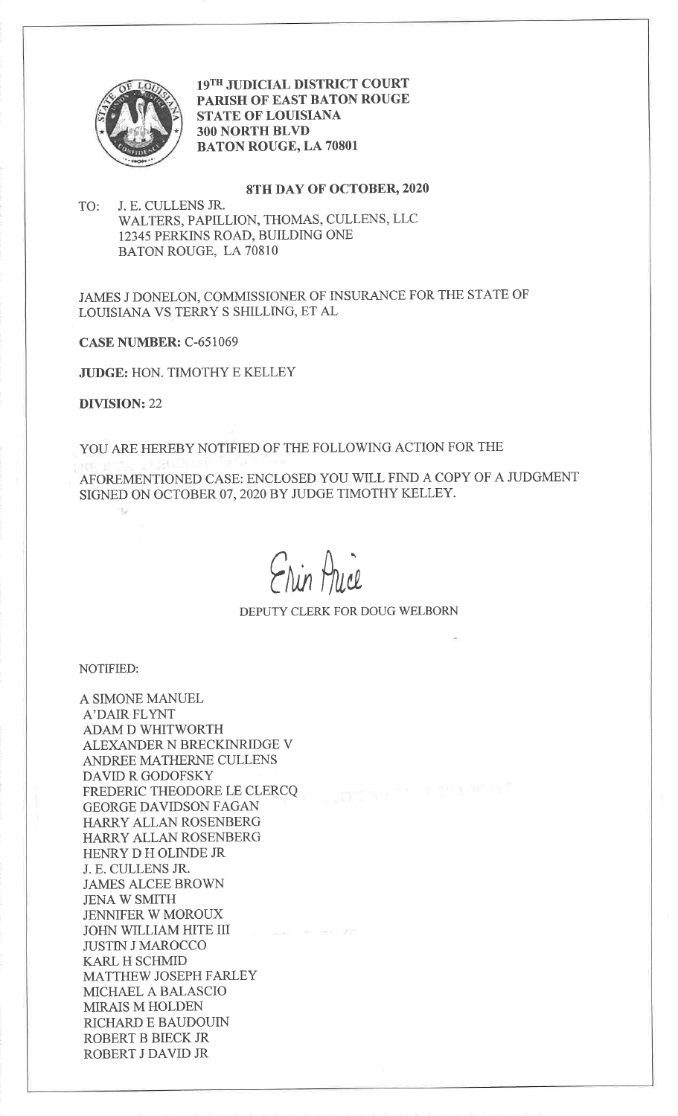

19TH JUDICIAL DISTRICT COURT PARISH OF EAST BATON ROUGESTATE OF LOUISIANA3OO NORTH BLVDBATON ROUGE, LA 70801

## 8TH DAY OF OCTOBER,2020

TO: J. E. CULLENS JR. WALTERS, PAPILLION, THOMAS, CULLENS, LLC12345 PERKINS ROAD, BUILDING ONEBATON ROUGE, LA 70810

JAMES J DONELON, COMMISSIONER OF INSURANCE FOR THE STATE OFLOUISIANA VS TERRY S SHILLING, ET AL

CASE NUMBER: C-651069

JUDGE: HON. TIMOTHY E KELLEY

DIVISION:22

v

YOU ARE HEREBY NOTIFIED OF THE FOLLOWING ACTION FOR THE

AFOREMENTIONED CASE: ENCLOSED YOU WILL FIND A COPY OF A JUDGMENTSIGNED ON OCTOBER 07, 2O2O BY JUDGE TIMOTHY KELLEY.

Erin Price

DEPUTY CLERK FOR DOUG WELBORN

NOTIFIED

A SIMONE MANUELA'DAIR FLYNT ADAM D WHITWORTH ALEXANDER N BRECKINRIDGE VANDREE MATHERNE CULLENSDAVID R GODOFSKY FREDERIC THEODORE LE CLERCQGEORGE DAVIDSON FAGAN HARRY ALLAN ROSENBERG HARRY ALLAN ROSENBERGHENRY D H OLINDE JR J. E. CULLENS JR.JAMES ALCEE BROWNJENA W SMITH JENNIFER W MOROUX JOHN WILLIAM HITE IIIJUSTIN J MAROCCOKARL H SCHMID MATTHEW JOSEPH FARLEYMICHAEL A BALASCIOMIRAIS M HOLDEN RICHARD E BAUDOUINROBERT B BIECK JRROBERT J DAVID JR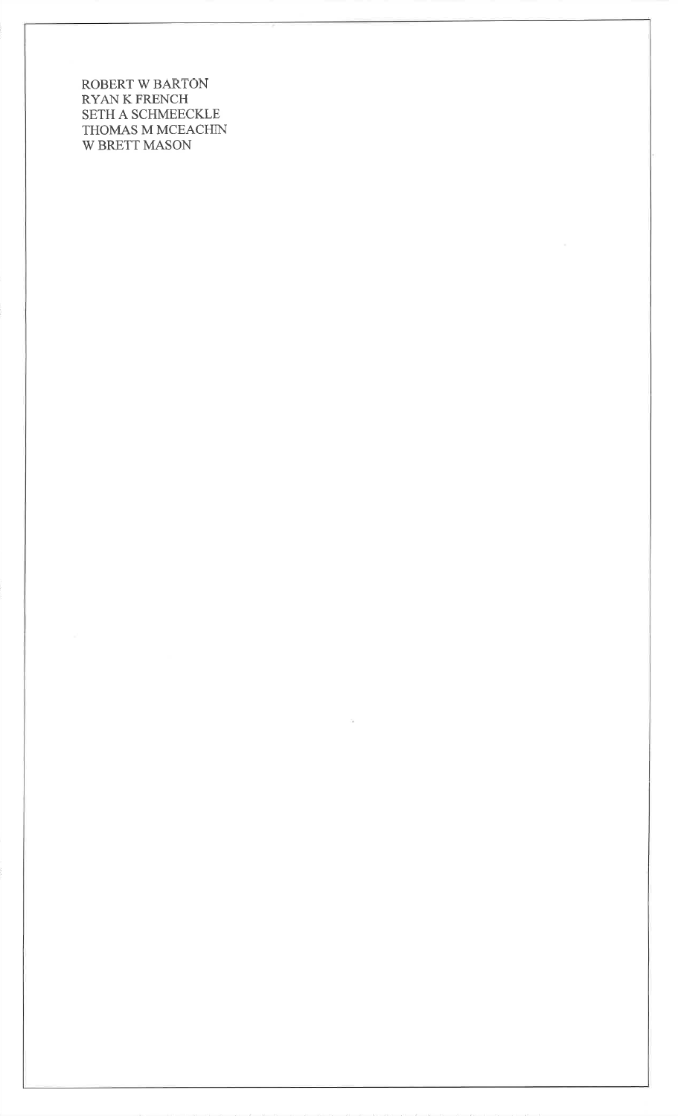ROBERT W BARTONRYAN K FRENCH SETH A SCHMEECKLE THOMAS M MCEACHINW BRETT MASON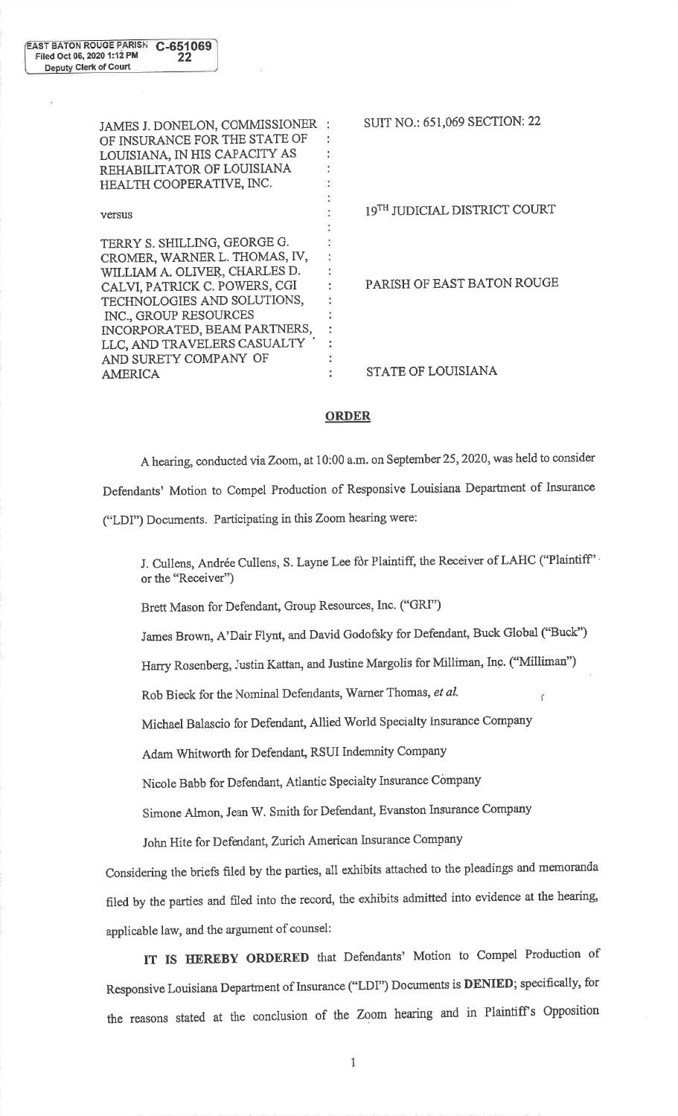SUIT NO.: 651,069 SECTION: 22JAMES J. DONELON, COMMISSIONERt. OF INSURANCE FOR THE STATE OFLOUISIANA, IN HIS CAPACITY AS  $\ddot{\cdot}$ ÷ REHABILITATOR OF LOUISIANA÷ HEALTH COOPERATIVE, INC.  $\overline{\phantom{a}}$  $19^{TH}$  JUDICIAL DISTRICT COURT versusTERRY S. SHILLING, GEORGE G. ÷ CROMER, WARNER L. THOMAS, N,÷ WILLIAM A. OLIVER, CHARLES D.t. PARISH OF EAST BATON ROUGECALVI, PATRiCK C. POWERS, CGI ţ. TECHNOLOGIES AND SOLUTIONS,÷ INC., GROUP RESOURCES÷ ś INCORPORATED, BEAM PARTNERS,LLC, AND TRAVELERS CASUALTY ž. AND SURETY COMPANY OFł. STATE OF LOUISIANAAMERICA¢.

## ORDER

A hearing, conducted via Zoom, at 10:00 a.m. on September 25, 2020, was held to consider Defendants' Motion to Compel Production of Responsive Louisiana Departrnent of Insurance ("LDI") Documents. Participating in this Zoom hearing were:

J. Cullens, Andrée Cullens, S. Layne Lee for Plaintiff, the Receiver of LAHC ("Plaintiff" or the "Receiver")

Brett Mason for Defendant, Group Resources, Inc. ('GR[")

James Brown, A'Dair Flynt, and David Godofsky for Defendant, Buck Global ("Buck")

Harry Rosenberg, Justin Kattan, and Justine Margolis for Milliman, Inc. ('Milliman")

Rob Bieck for the Nominal Defendants, Warner Thomas, et al.

Michael Balascio for Defendant, Allied World Specialty Insurance Company

Adam Whitworth for Defendant, RSUI Indemnity Company

Nicole Babb for Defendant, Atlantic specialty Insurance company

Simone Almon, Jean W. Smith for Defendant, Evanston Inzurance company

John Hite for Defendant, Zurich American Insurance Company

Considering the briefs fi1ed by the parties, all exhibits attached to the pleadings and memoranda filed by the parties and filed into the record, the exhibits admitted into evidence at the hearing, applicable law, and the argument of counsel:

IT IS HEREBY ORDERED that Defendants' Motion to Compel Production of Responsive Louisiana Department of Insurance ("LDI") Documents is DENIED; specifically, for the reasons stated at the conclusion of the Zoom hearing and in Plaintiff's Opposition

1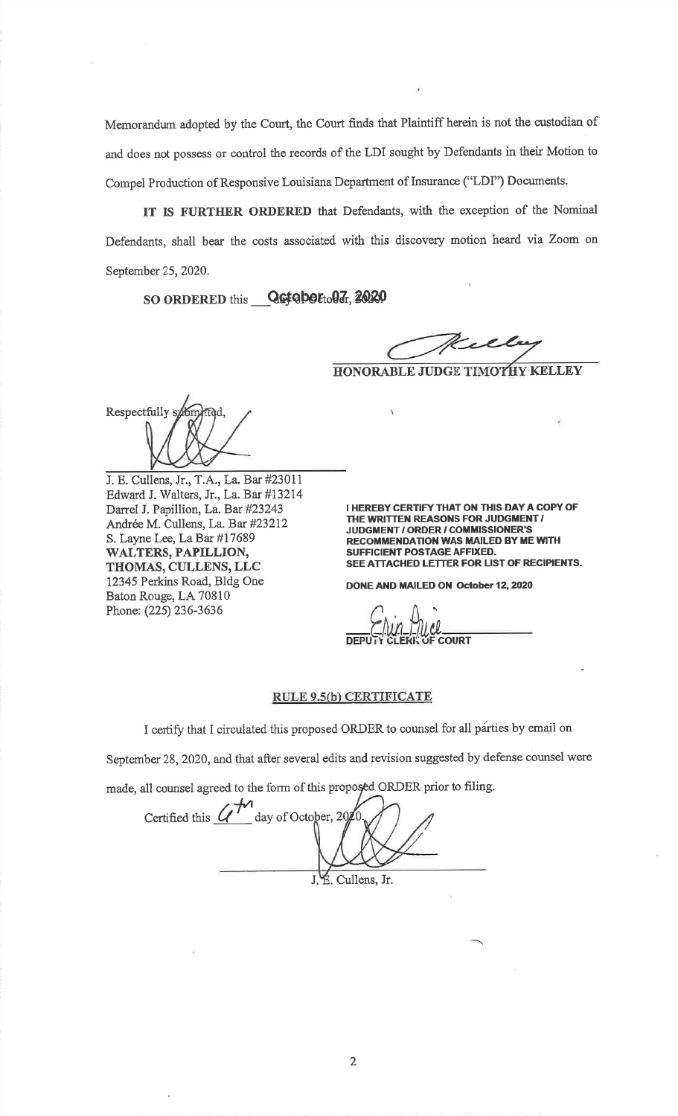Memorandum adopted by the Court, the Court finds that Plaintiff herein is not the custodian of and does not possess or control the records of the LDI sought by Defendants in their Motion toCompel Production of Responsive Louisiana Department of Insurance ('LDI") Documents.

IT IS FURTHER ORDERED that Defendants, with the exception of the Nominal Defendants, shall bear the costs associated with this discovery motion heard via Zoom onSeptember 25,2020.

 $\rm SO$  ORDERED this  $\_\_\text{QG}$ tobe $\epsilon_{\rm to}$ 0 $\bar{\epsilon}$ , 20

Will

HONORABLE JUDGE TIMO<mark>THY KELLEY</mark>

Respectfully sym

J. E. Cullens, Jr., T.A., La. Bar #23017 Edward J. Walters, Jr., La. Bat #132t4Darrel J. Papillion, La. Bar #23243Andrée M. Cullens, La. Bar #23212 S. Layne Lee, La Bar #17689 WALTERS, PAPILLION, TITOMAS, CULLENS,LLC 12345 Perkins Road, Bldg OneBaton Rouge, LA 70810Phone: (225)236-3636

I HEREBY CERTIFY THAT ON THIS DAY A COPY OFTHE WRITTEN REASONS FOR JUDGMENT /JUDGMENT / ORDER / COMMISSIONER'S RECOMMENDATION WAS MAILED BY ME WITH SUFFICIENT POSTAGE AFFIXED.SEE ATTACHED LETTER FOR LIST OF RECIPIENTS

DONE AND MAILED ON October 12, 2020

t0COURT

## RULE 9.5(b) CERTIFICATE

I certify that I circulated this proposed ORDER to counsel for all parties by email on

September 28, 2020, and that after several edits and revision suggested by defense counsel were

made, all counsel agreed to the form of this proposed ORDER prior to filing.

J. E. Cullens, Jr. Certified this  $\mathcal{U}^{\mathcal{M}}$  day of Octo